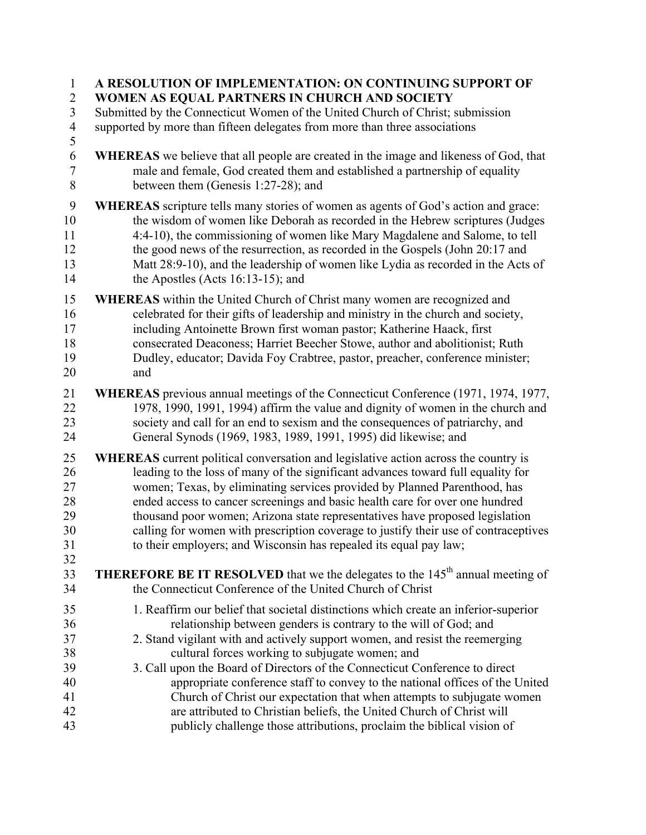| $\mathbf{1}$   | A RESOLUTION OF IMPLEMENTATION: ON CONTINUING SUPPORT OF                                   |
|----------------|--------------------------------------------------------------------------------------------|
| $\overline{2}$ | WOMEN AS EQUAL PARTNERS IN CHURCH AND SOCIETY                                              |
| 3              | Submitted by the Connecticut Women of the United Church of Christ; submission              |
| $\overline{4}$ | supported by more than fifteen delegates from more than three associations                 |
| 5              |                                                                                            |
| 6              | WHEREAS we believe that all people are created in the image and likeness of God, that      |
| $\overline{7}$ | male and female, God created them and established a partnership of equality                |
| 8              | between them (Genesis 1:27-28); and                                                        |
| 9              | <b>WHEREAS</b> scripture tells many stories of women as agents of God's action and grace:  |
| 10             | the wisdom of women like Deborah as recorded in the Hebrew scriptures (Judges              |
| 11             | 4:4-10), the commissioning of women like Mary Magdalene and Salome, to tell                |
| 12             | the good news of the resurrection, as recorded in the Gospels (John 20:17 and              |
| 13             | Matt 28:9-10), and the leadership of women like Lydia as recorded in the Acts of           |
| 14             | the Apostles (Acts 16:13-15); and                                                          |
|                |                                                                                            |
| 15             | <b>WHEREAS</b> within the United Church of Christ many women are recognized and            |
| 16             | celebrated for their gifts of leadership and ministry in the church and society,           |
| 17             | including Antoinette Brown first woman pastor; Katherine Haack, first                      |
| 18             | consecrated Deaconess; Harriet Beecher Stowe, author and abolitionist; Ruth                |
| 19             | Dudley, educator; Davida Foy Crabtree, pastor, preacher, conference minister;              |
| 20             | and                                                                                        |
| 21             | WHEREAS previous annual meetings of the Connecticut Conference (1971, 1974, 1977,          |
| 22             | 1978, 1990, 1991, 1994) affirm the value and dignity of women in the church and            |
| 23             | society and call for an end to sexism and the consequences of patriarchy, and              |
| 24             | General Synods (1969, 1983, 1989, 1991, 1995) did likewise; and                            |
| 25             | <b>WHEREAS</b> current political conversation and legislative action across the country is |
| 26             | leading to the loss of many of the significant advances toward full equality for           |
| 27             | women; Texas, by eliminating services provided by Planned Parenthood, has                  |
| 28             | ended access to cancer screenings and basic health care for over one hundred               |
| 29             | thousand poor women; Arizona state representatives have proposed legislation               |
| 30             | calling for women with prescription coverage to justify their use of contraceptives        |
| 31             | to their employers; and Wisconsin has repealed its equal pay law;                          |
| 32             |                                                                                            |
| 33             | <b>THEREFORE BE IT RESOLVED</b> that we the delegates to the $145th$ annual meeting of     |
| 34             | the Connecticut Conference of the United Church of Christ                                  |
| 35             | 1. Reaffirm our belief that societal distinctions which create an inferior-superior        |
| 36             | relationship between genders is contrary to the will of God; and                           |
| 37             | 2. Stand vigilant with and actively support women, and resist the reemerging               |
| 38             | cultural forces working to subjugate women; and                                            |
| 39             | 3. Call upon the Board of Directors of the Connecticut Conference to direct                |
| 40             | appropriate conference staff to convey to the national offices of the United               |
| 41             | Church of Christ our expectation that when attempts to subjugate women                     |
| 42             | are attributed to Christian beliefs, the United Church of Christ will                      |
| 43             | publicly challenge those attributions, proclaim the biblical vision of                     |